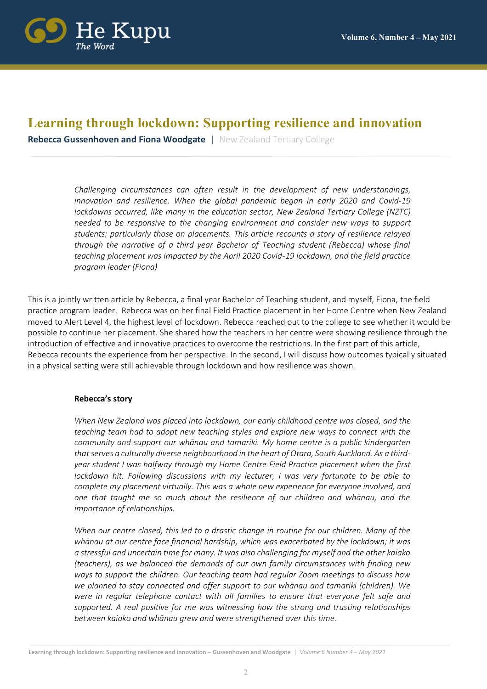

# **Learning through lockdown: Supporting resilience and innovation**

**Rebecca Gussenhoven and Fiona Woodgate** | New Zealand Tertiary College

*Challenging circumstances can often result in the development of new understandings, innovation and resilience. When the global pandemic began in early 2020 and Covid-19 lockdowns occurred, like many in the education sector, New Zealand Tertiary College (NZTC) needed to be responsive to the changing environment and consider new ways to support students; particularly those on placements. This article recounts a story of resilience relayed through the narrative of a third year Bachelor of Teaching student (Rebecca) whose final teaching placement was impacted by the April 2020 Covid-19 lockdown, and the field practice program leader (Fiona)* 

This is a jointly written article by Rebecca, a final year Bachelor of Teaching student, and myself, Fiona, the field practice program leader. Rebecca was on her final Field Practice placement in her Home Centre when New Zealand moved to Alert Level 4, the highest level of lockdown. Rebecca reached out to the college to see whether it would be possible to continue her placement. She shared how the teachers in her centre were showing resilience through the introduction of effective and innovative practices to overcome the restrictions. In the first part of this article, Rebecca recounts the experience from her perspective. In the second, I will discuss how outcomes typically situated in a physical setting were still achievable through lockdown and how resilience was shown.

#### **Rebecca's story**

*When New Zealand was placed into lockdown, our early childhood centre was closed, and the teaching team had to adopt new teaching styles and explore new ways to connect with the community and support our whānau and tamariki. My home centre is a public kindergarten that serves a culturally diverse neighbourhood in the heart of Otara, South Auckland. As a thirdyear student I was halfway through my Home Centre Field Practice placement when the first lockdown hit. Following discussions with my lecturer, I was very fortunate to be able to complete my placement virtually. This was a whole new experience for everyone involved, and one that taught me so much about the resilience of our children and whānau, and the importance of relationships.* 

*When our centre closed, this led to a drastic change in routine for our children. Many of the whānau at our centre face financial hardship, which was exacerbated by the lockdown; it was a stressful and uncertain time for many. It was also challenging for myself and the other kaiako (teachers), as we balanced the demands of our own family circumstances with finding new ways to support the children. Our teaching team had regular Zoom meetings to discuss how we planned to stay connected and offer support to our whānau and tamariki (children). We were in regular telephone contact with all families to ensure that everyone felt safe and supported. A real positive for me was witnessing how the strong and trusting relationships between kaiako and whānau grew and were strengthened over this time.*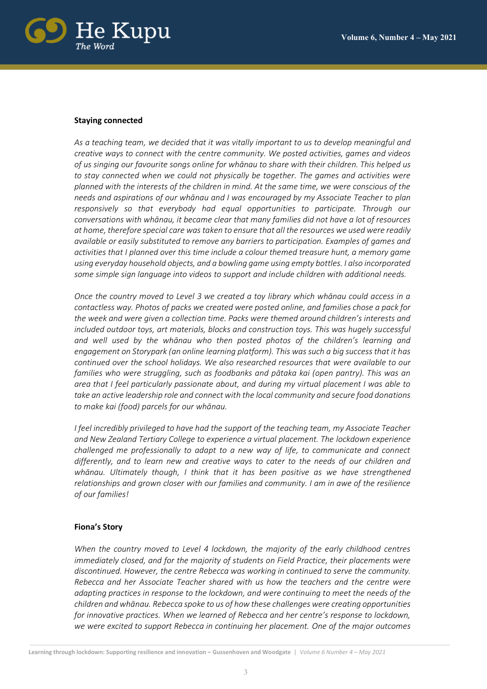

### **Staying connected**

*As a teaching team, we decided that it was vitally important to us to develop meaningful and creative ways to connect with the centre community. We posted activities, games and videos of us singing our favourite songs online for whānau to share with their children. This helped us to stay connected when we could not physically be together. The games and activities were planned with the interests of the children in mind. At the same time, we were conscious of the needs and aspirations of our whānau and I was encouraged by my Associate Teacher to plan responsively so that everybody had equal opportunities to participate. Through our conversations with whānau, it became clear that many families did not have a lot of resources at home, therefore special care was taken to ensure that all the resources we used were readily available or easily substituted to remove any barriers to participation. Examples of games and activities that I planned over this time include a colour themed treasure hunt, a memory game using everyday household objects, and a bowling game using empty bottles. I also incorporated some simple sign language into videos to support and include children with additional needs.*

*Once the country moved to Level 3 we created a toy library which whānau could access in a contactless way. Photos of packs we created were posted online, and families chose a pack for the week and were given a collection time. Packs were themed around children's interests and included outdoor toys, art materials, blocks and construction toys. This was hugely successful and well used by the whānau who then posted photos of the children's learning and engagement on Storypark (an online learning platform). This was such a big success that it has continued over the school holidays. We also researched resources that were available to our families who were struggling, such as foodbanks and pātaka kai (open pantry). This was an area that I feel particularly passionate about, and during my virtual placement I was able to take an active leadership role and connect with the local community and secure food donations to make kai (food) parcels for our whānau.* 

*I feel incredibly privileged to have had the support of the teaching team, my Associate Teacher and New Zealand Tertiary College to experience a virtual placement. The lockdown experience challenged me professionally to adapt to a new way of life, to communicate and connect differently, and to learn new and creative ways to cater to the needs of our children and whānau. Ultimately though, I think that it has been positive as we have strengthened relationships and grown closer with our families and community. I am in awe of the resilience of our families!*

# **Fiona's Story**

*When the country moved to Level 4 lockdown, the majority of the early childhood centres immediately closed, and for the majority of students on Field Practice, their placements were discontinued. However, the centre Rebecca was working in continued to serve the community. Rebecca and her Associate Teacher shared with us how the teachers and the centre were adapting practices in response to the lockdown, and were continuing to meet the needs of the children and whānau. Rebecca spoke to us of how these challenges were creating opportunities for innovative practices. When we learned of Rebecca and her centre's response to lockdown, we were excited to support Rebecca in continuing her placement. One of the major outcomes*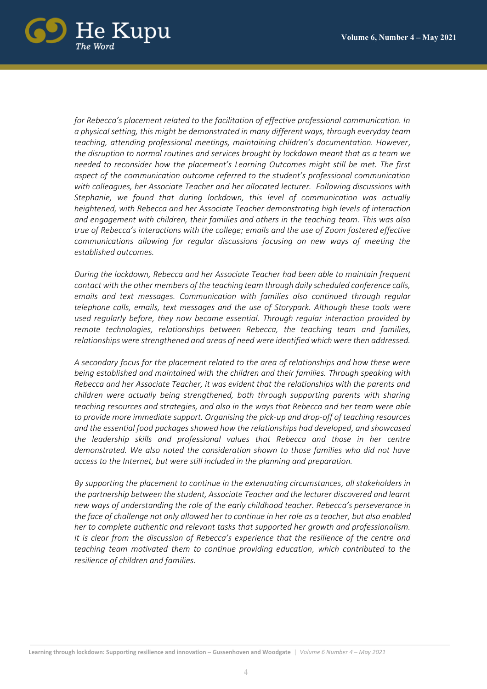

*for Rebecca's placement related to the facilitation of effective professional communication. In a physical setting, this might be demonstrated in many different ways, through everyday team teaching, attending professional meetings, maintaining children's documentation. However, the disruption to normal routines and services brought by lockdown meant that as a team we needed to reconsider how the placement's Learning Outcomes might still be met. The first aspect of the communication outcome referred to the student's professional communication with colleagues, her Associate Teacher and her allocated lecturer. Following discussions with Stephanie, we found that during lockdown, this level of communication was actually heightened, with Rebecca and her Associate Teacher demonstrating high levels of interaction and engagement with children, their families and others in the teaching team. This was also true of Rebecca's interactions with the college; emails and the use of Zoom fostered effective communications allowing for regular discussions focusing on new ways of meeting the established outcomes.* 

*During the lockdown, Rebecca and her Associate Teacher had been able to maintain frequent contact with the other members of the teaching team through daily scheduled conference calls, emails and text messages. Communication with families also continued through regular telephone calls, emails, text messages and the use of Storypark. Although these tools were used regularly before, they now became essential. Through regular interaction provided by remote technologies, relationships between Rebecca, the teaching team and families, relationships were strengthened and areas of need were identified which were then addressed.* 

*A secondary focus for the placement related to the area of relationships and how these were being established and maintained with the children and their families. Through speaking with Rebecca and her Associate Teacher, it was evident that the relationships with the parents and children were actually being strengthened, both through supporting parents with sharing teaching resources and strategies, and also in the ways that Rebecca and her team were able to provide more immediate support. Organising the pick-up and drop-off of teaching resources and the essential food packages showed how the relationships had developed, and showcased the leadership skills and professional values that Rebecca and those in her centre demonstrated. We also noted the consideration shown to those families who did not have access to the Internet, but were still included in the planning and preparation.* 

*By supporting the placement to continue in the extenuating circumstances, all stakeholders in the partnership between the student, Associate Teacher and the lecturer discovered and learnt new ways of understanding the role of the early childhood teacher. Rebecca's perseverance in the face of challenge not only allowed her to continue in her role as a teacher, but also enabled her to complete authentic and relevant tasks that supported her growth and professionalism. It is clear from the discussion of Rebecca's experience that the resilience of the centre and teaching team motivated them to continue providing education, which contributed to the resilience of children and families.*